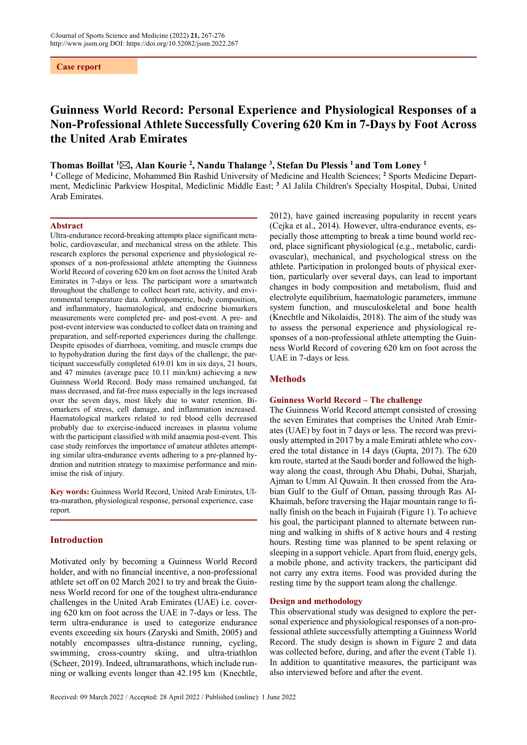**Case report**

# **Guinness World Record: Personal Experience and Physiological Responses of a Non-Professional Athlete Successfully Covering 620 Km in 7-Days by Foot Across the United Arab Emirates**

# **Thomas Boillat 1 , Alan Kourie 2 , Nandu Thalange 3 , Stefan Du Plessis 1 and Tom Loney 1**

<sup>1</sup> College of Medicine, Mohammed Bin Rashid University of Medicine and Health Sciences; <sup>2</sup> Sports Medicine Department, Mediclinic Parkview Hospital, Mediclinic Middle East; **<sup>3</sup>** Al Jalila Children's Specialty Hospital, Dubai, United Arab Emirates.

## **Abstract**

Ultra-endurance record-breaking attempts place significant metabolic, cardiovascular, and mechanical stress on the athlete. This research explores the personal experience and physiological responses of a non-professional athlete attempting the Guinness World Record of covering 620 km on foot across the United Arab Emirates in 7-days or less. The participant wore a smartwatch throughout the challenge to collect heart rate, activity, and environmental temperature data. Anthropometric, body composition, and inflammatory, haematological, and endocrine biomarkers measurements were completed pre- and post-event. A pre- and post-event interview was conducted to collect data on training and preparation, and self-reported experiences during the challenge. Despite episodes of diarrhoea, vomiting, and muscle cramps due to hypohydration during the first days of the challenge, the participant successfully completed 619.01 km in six days, 21 hours, and 47 minutes (average pace 10.11 min/km) achieving a new Guinness World Record. Body mass remained unchanged, fat mass decreased, and fat-free mass especially in the legs increased over the seven days, most likely due to water retention. Biomarkers of stress, cell damage, and inflammation increased. Haematological markers related to red blood cells decreased probably due to exercise-induced increases in plasma volume with the participant classified with mild anaemia post-event. This case study reinforces the importance of amateur athletes attempting similar ultra-endurance events adhering to a pre-planned hydration and nutrition strategy to maximise performance and minimise the risk of injury.

**Key words:** Guinness World Record, United Arab Emirates, Ultra-marathon, physiological response, personal experience, case report.

# **Introduction**

Motivated only by becoming a Guinness World Record holder, and with no financial incentive, a non-professional athlete set off on 02 March 2021 to try and break the Guinness World record for one of the toughest ultra-endurance challenges in the United Arab Emirates (UAE) i.e. covering 620 km on foot across the UAE in 7-days or less. The term ultra-endurance is used to categorize endurance events exceeding six hours (Zaryski and Smith, 2005) and notably encompasses ultra-distance running, cycling, swimming, cross-country skiing, and ultra-triathlon (Scheer, 2019). Indeed, ultramarathons, which include running or walking events longer than 42.195 km (Knechtle, 2012), have gained increasing popularity in recent years (Cejka et al., 2014). However, ultra-endurance events, especially those attempting to break a time bound world record, place significant physiological (e.g., metabolic, cardiovascular), mechanical, and psychological stress on the athlete. Participation in prolonged bouts of physical exertion, particularly over several days, can lead to important changes in body composition and metabolism, fluid and electrolyte equilibrium, haematologic parameters, immune system function, and musculoskeletal and bone health (Knechtle and Nikolaidis, 2018). The aim of the study was to assess the personal experience and physiological responses of a non-professional athlete attempting the Guinness World Record of covering 620 km on foot across the UAE in 7-days or less.

# **Methods**

## **Guinness World Record – The challenge**

The Guinness World Record attempt consisted of crossing the seven Emirates that comprises the United Arab Emirates (UAE) by foot in 7 days or less. The record was previously attempted in 2017 by a male Emirati athlete who covered the total distance in 14 days (Gupta, 2017). The 620 km route, started at the Saudi border and followed the highway along the coast, through Abu Dhabi, Dubai, Sharjah, Ajman to Umm Al Quwain. It then crossed from the Arabian Gulf to the Gulf of Oman, passing through Ras Al-Khaimah, before traversing the Hajar mountain range to finally finish on the beach in Fujairah (Figure 1). To achieve his goal, the participant planned to alternate between running and walking in shifts of 8 active hours and 4 resting hours. Resting time was planned to be spent relaxing or sleeping in a support vehicle. Apart from fluid, energy gels, a mobile phone, and activity trackers, the participant did not carry any extra items. Food was provided during the resting time by the support team along the challenge.

## **Design and methodology**

This observational study was designed to explore the personal experience and physiological responses of a non-professional athlete successfully attempting a Guinness World Record. The study design is shown in Figure 2 and data was collected before, during, and after the event (Table 1). In addition to quantitative measures, the participant was also interviewed before and after the event.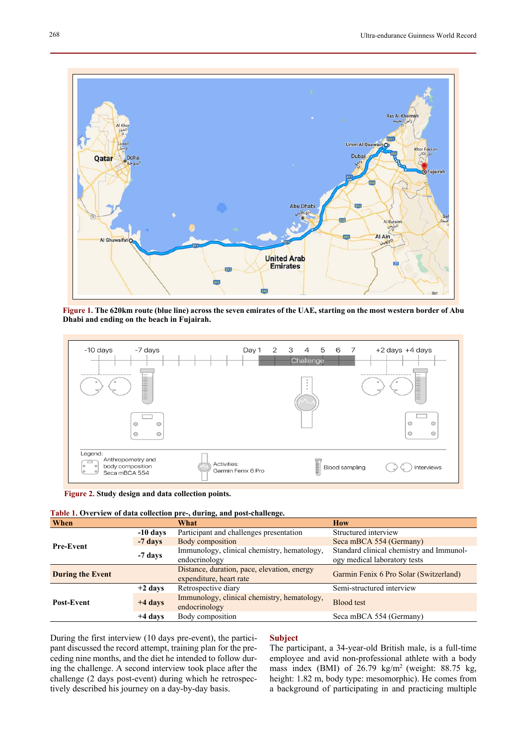

**Figure 1. The 620km route (blue line) across the seven emirates of the UAE, starting on the most western border of Abu Dhabi and ending on the beach in Fujairah.** 



 **Figure 2. Study design and data collection points.**

| Table 1. Overview of data collection pre-, during, and post-challenge. |  |  |  |  |  |  |  |  |  |
|------------------------------------------------------------------------|--|--|--|--|--|--|--|--|--|
|------------------------------------------------------------------------|--|--|--|--|--|--|--|--|--|

| When                    |            | What                                                                   | <b>How</b>                                                               |  |  |
|-------------------------|------------|------------------------------------------------------------------------|--------------------------------------------------------------------------|--|--|
|                         | $-10$ days | Participant and challenges presentation                                | Structured interview                                                     |  |  |
| <b>Pre-Event</b>        | $-7$ days  | Body composition                                                       | Seca mBCA 554 (Germany)                                                  |  |  |
|                         | -7 days    | Immunology, clinical chemistry, hematology,<br>endocrinology           | Standard clinical chemistry and Immunol-<br>ogy medical laboratory tests |  |  |
| <b>During the Event</b> |            | Distance, duration, pace, elevation, energy<br>expenditure, heart rate | Garmin Fenix 6 Pro Solar (Switzerland)                                   |  |  |
|                         | $+2$ days  | Retrospective diary                                                    | Semi-structured interview                                                |  |  |
| <b>Post-Event</b>       | $+4$ days  | Immunology, clinical chemistry, hematology,<br>endocrinology           | Blood test                                                               |  |  |
|                         | $+4$ days  | Body composition                                                       | Seca mBCA 554 (Germany)                                                  |  |  |

During the first interview (10 days pre-event), the participant discussed the record attempt, training plan for the preceding nine months, and the diet he intended to follow during the challenge. A second interview took place after the challenge (2 days post-event) during which he retrospectively described his journey on a day-by-day basis.

# **Subject**

The participant, a 34-year-old British male, is a full-time employee and avid non-professional athlete with a body mass index (BMI) of 26.79 kg/m2 (weight: 88.75 kg, height: 1.82 m, body type: mesomorphic). He comes from a background of participating in and practicing multiple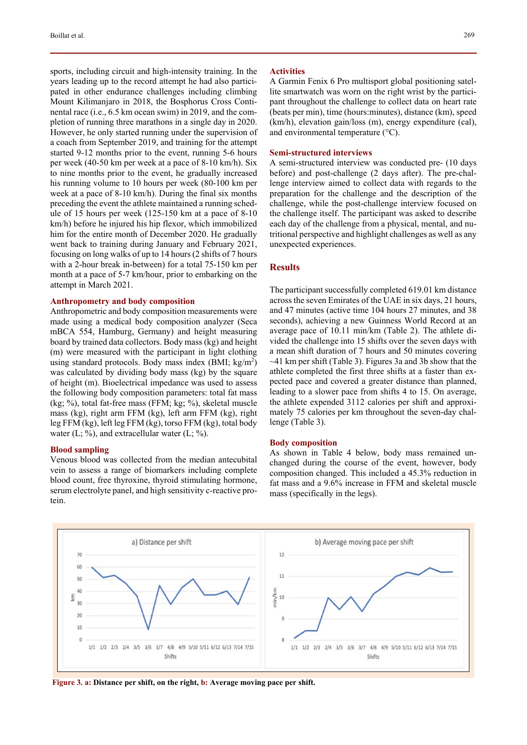sports, including circuit and high-intensity training. In the years leading up to the record attempt he had also participated in other endurance challenges including climbing Mount Kilimanjaro in 2018, the Bosphorus Cross Continental race (i.e., 6.5 km ocean swim) in 2019, and the completion of running three marathons in a single day in 2020. However, he only started running under the supervision of a coach from September 2019, and training for the attempt started 9-12 months prior to the event, running 5-6 hours per week (40-50 km per week at a pace of 8-10 km/h). Six to nine months prior to the event, he gradually increased his running volume to 10 hours per week (80-100 km per week at a pace of 8-10 km/h). During the final six months preceding the event the athlete maintained a running schedule of 15 hours per week (125-150 km at a pace of 8-10 km/h) before he injured his hip flexor, which immobilized him for the entire month of December 2020. He gradually went back to training during January and February 2021, focusing on long walks of up to 14 hours (2 shifts of 7 hours with a 2-hour break in-between) for a total 75-150 km per month at a pace of 5-7 km/hour, prior to embarking on the attempt in March 2021.

#### **Anthropometry and body composition**

Anthropometric and body composition measurements were made using a medical body composition analyzer (Seca mBCA 554, Hamburg, Germany) and height measuring board by trained data collectors. Body mass (kg) and height (m) were measured with the participant in light clothing using standard protocols. Body mass index  $(BMI; kg/m<sup>2</sup>)$ was calculated by dividing body mass (kg) by the square of height (m). Bioelectrical impedance was used to assess the following body composition parameters: total fat mass (kg; %), total fat-free mass (FFM; kg; %), skeletal muscle mass (kg), right arm FFM (kg), left arm FFM (kg), right leg FFM (kg), left leg FFM (kg), torso FFM (kg), total body water (L; %), and extracellular water (L; %).

# **Blood sampling**

Venous blood was collected from the median antecubital vein to assess a range of biomarkers including complete blood count, free thyroxine, thyroid stimulating hormone, serum electrolyte panel, and high sensitivity c-reactive protein.

#### **Activities**

A Garmin Fenix 6 Pro multisport global positioning satellite smartwatch was worn on the right wrist by the participant throughout the challenge to collect data on heart rate (beats per min), time (hours:minutes), distance (km), speed (km/h), elevation gain/loss (m), energy expenditure (cal), and environmental temperature  $(^{\circ}C)$ .

#### **Semi-structured interviews**

A semi-structured interview was conducted pre- (10 days before) and post-challenge (2 days after). The pre-challenge interview aimed to collect data with regards to the preparation for the challenge and the description of the challenge, while the post-challenge interview focused on the challenge itself. The participant was asked to describe each day of the challenge from a physical, mental, and nutritional perspective and highlight challenges as well as any unexpected experiences.

## **Results**

The participant successfully completed 619.01 km distance across the seven Emirates of the UAE in six days, 21 hours, and 47 minutes (active time 104 hours 27 minutes, and 38 seconds), achieving a new Guinness World Record at an average pace of 10.11 min/km (Table 2). The athlete divided the challenge into 15 shifts over the seven days with a mean shift duration of 7 hours and 50 minutes covering ~41 km per shift (Table 3). Figures 3a and 3b show that the athlete completed the first three shifts at a faster than expected pace and covered a greater distance than planned, leading to a slower pace from shifts 4 to 15. On average, the athlete expended 3112 calories per shift and approximately 75 calories per km throughout the seven-day challenge (Table 3).

### **Body composition**

As shown in Table 4 below, body mass remained unchanged during the course of the event, however, body composition changed. This included a 45.3% reduction in fat mass and a 9.6% increase in FFM and skeletal muscle mass (specifically in the legs).



 **Figure 3. a: Distance per shift, on the right, b: Average moving pace per shift.**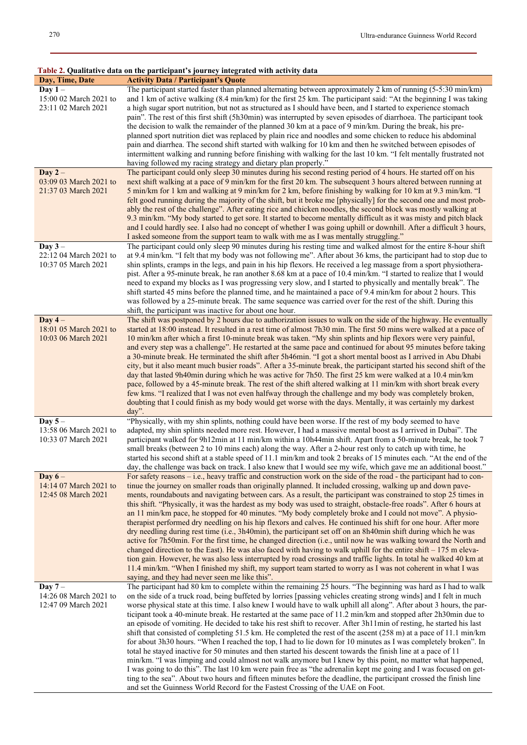#### **Table 2. Qualitative data on the participant's journey integrated with activity data**

| Day, Time, Date        | таже 2. Quantauve data он ию рагиеране з још неу ниедгател мин асимну бата<br><b>Activity Data / Participant's Quote</b> |
|------------------------|--------------------------------------------------------------------------------------------------------------------------|
|                        |                                                                                                                          |
| Day $1 -$              | The participant started faster than planned alternating between approximately 2 km of running $(5-5.30 \text{ min/km})$  |
| 15:00 02 March 2021 to | and 1 km of active walking (8.4 min/km) for the first 25 km. The participant said: "At the beginning I was taking        |
| 23:11 02 March 2021    | a high sugar sport nutrition, but not as structured as I should have been, and I started to experience stomach           |
|                        | pain". The rest of this first shift (5h30min) was interrupted by seven episodes of diarrhoea. The participant took       |
|                        | the decision to walk the remainder of the planned 30 km at a pace of 9 min/km. During the break, his pre-                |
|                        | planned sport nutrition diet was replaced by plain rice and noodles and some chicken to reduce his abdominal             |
|                        | pain and diarrhea. The second shift started with walking for 10 km and then he switched between episodes of              |
|                        | intermittent walking and running before finishing with walking for the last 10 km. "I felt mentally frustrated not       |
|                        | having followed my racing strategy and dietary plan properly."                                                           |
| Day $2-$               | The participant could only sleep 30 minutes during his second resting period of 4 hours. He started off on his           |
|                        |                                                                                                                          |
| 03:09 03 March 2021 to | next shift walking at a pace of 9 min/km for the first 20 km. The subsequent 3 hours altered between running at          |
| 21:37 03 March 2021    | 5 min/km for 1 km and walking at 9 min/km for 2 km, before finishing by walking for 10 km at 9.3 min/km. "I              |
|                        | felt good running during the majority of the shift, but it broke me [physically] for the second one and most prob-       |
|                        | ably the rest of the challenge". After eating rice and chicken noodles, the second block was mostly walking at           |
|                        | 9.3 min/km. "My body started to get sore. It started to become mentally difficult as it was misty and pitch black        |
|                        | and I could hardly see. I also had no concept of whether I was going uphill or downhill. After a difficult 3 hours,      |
|                        | I asked someone from the support team to walk with me as I was mentally struggling."                                     |
| Day $3-$               | The participant could only sleep 90 minutes during his resting time and walked almost for the entire 8-hour shift        |
| 22:12 04 March 2021 to | at 9.4 min/km. "I felt that my body was not following me". After about 36 kms, the participant had to stop due to        |
|                        |                                                                                                                          |
| 10:37 05 March 2021    | shin splints, cramps in the legs, and pain in his hip flexors. He received a leg massage from a sport physiothera-       |
|                        | pist. After a 95-minute break, he ran another 8.68 km at a pace of 10.4 min/km. "I started to realize that I would       |
|                        | need to expand my blocks as I was progressing very slow, and I started to physically and mentally break". The            |
|                        | shift started 45 mins before the planned time, and he maintained a pace of 9.4 min/km for about 2 hours. This            |
|                        | was followed by a 25-minute break. The same sequence was carried over for the rest of the shift. During this             |
|                        | shift, the participant was inactive for about one hour.                                                                  |
| Day $4-$               | The shift was postponed by 2 hours due to authorization issues to walk on the side of the highway. He eventually         |
| 18:01 05 March 2021 to | started at 18:00 instead. It resulted in a rest time of almost 7h30 min. The first 50 mins were walked at a pace of      |
| 10:03 06 March 2021    | 10 min/km after which a first 10-minute break was taken. "My shin splints and hip flexors were very painful,             |
|                        | and every step was a challenge". He restarted at the same pace and continued for about 95 minutes before taking          |
|                        |                                                                                                                          |
|                        | a 30-minute break. He terminated the shift after 5h46min. "I got a short mental boost as I arrived in Abu Dhabi          |
|                        | city, but it also meant much busier roads". After a 35-minute break, the participant started his second shift of the     |
|                        | day that lasted 9h40min during which he was active for 7h50. The first 25 km were walked at a 10.4 min/km                |
|                        | pace, followed by a 45-minute break. The rest of the shift altered walking at 11 min/km with short break every           |
|                        | few kms. "I realized that I was not even halfway through the challenge and my body was completely broken,                |
|                        | doubting that I could finish as my body would get worse with the days. Mentally, it was certainly my darkest             |
|                        | day".                                                                                                                    |
| Day $5-$               | "Physically, with my shin splints, nothing could have been worse. If the rest of my body seemed to have                  |
| 13:58 06 March 2021 to | adapted, my shin splints needed more rest. However, I had a massive mental boost as I arrived in Dubai". The             |
| 10:33 07 March 2021    | participant walked for 9h12min at 11 min/km within a 10h44min shift. Apart from a 50-minute break, he took 7             |
|                        | small breaks (between 2 to 10 mins each) along the way. After a 2-hour rest only to catch up with time, he               |
|                        |                                                                                                                          |
|                        | started his second shift at a stable speed of 11.1 min/km and took 2 breaks of 15 minutes each. "At the end of the       |
|                        | day, the challenge was back on track. I also knew that I would see my wife, which gave me an additional boost."          |
| Day $6-$               | For safety reasons – i.e., heavy traffic and construction work on the side of the road - the participant had to con-     |
| 14:14 07 March 2021 to | tinue the journey on smaller roads than originally planned. It included crossing, walking up and down pave-              |
| 12:45 08 March 2021    | ments, roundabouts and navigating between cars. As a result, the participant was constrained to stop 25 times in         |
|                        | this shift. "Physically, it was the hardest as my body was used to straight, obstacle-free roads". After 6 hours at      |
|                        | an 11 min/km pace, he stopped for 40 minutes. "My body completely broke and I could not move". A physio-                 |
|                        | therapist performed dry needling on his hip flexors and calves. He continued his shift for one hour. After more          |
|                        | dry needling during rest time (i.e., 3h40min), the participant set off on an 8h40min shift during which he was           |
|                        | active for 7h50min. For the first time, he changed direction (i.e., until now he was walking toward the North and        |
|                        | changed direction to the East). He was also faced with having to walk uphill for the entire shift – 175 m eleva-         |
|                        | tion gain. However, he was also less interrupted by road crossings and traffic lights. In total he walked 40 km at       |
|                        |                                                                                                                          |
|                        | 11.4 min/km. "When I finished my shift, my support team started to worry as I was not coherent in what I was             |
|                        | saying, and they had never seen me like this".                                                                           |
| Day $7-$               | The participant had 80 km to complete within the remaining 25 hours. "The beginning was hard as I had to walk            |
| 14:26 08 March 2021 to | on the side of a truck road, being buffeted by lorries [passing vehicles creating strong winds] and I felt in much       |
| 12:47 09 March 2021    | worse physical state at this time. I also knew I would have to walk uphill all along". After about 3 hours, the par-     |
|                        | ticipant took a 40-minute break. He restarted at the same pace of 11.2 min/km and stopped after 2h30min due to           |
|                        | an episode of vomiting. He decided to take his rest shift to recover. After 3h11min of resting, he started his last      |
|                        | shift that consisted of completing 51.5 km. He completed the rest of the ascent (258 m) at a pace of 11.1 min/km         |
|                        | for about 3h30 hours. "When I reached the top, I had to lie down for 10 minutes as I was completely broken". In          |
|                        | total he stayed inactive for 50 minutes and then started his descent towards the finish line at a pace of 11             |
|                        | min/km. "I was limping and could almost not walk anymore but I knew by this point, no matter what happened,              |
|                        |                                                                                                                          |
|                        | I was going to do this". The last 10 km were pain free as "the adrenalin kept me going and I was focused on get-         |
|                        | ting to the sea". About two hours and fifteen minutes before the deadline, the participant crossed the finish line       |
|                        | and set the Guinness World Record for the Fastest Crossing of the UAE on Foot.                                           |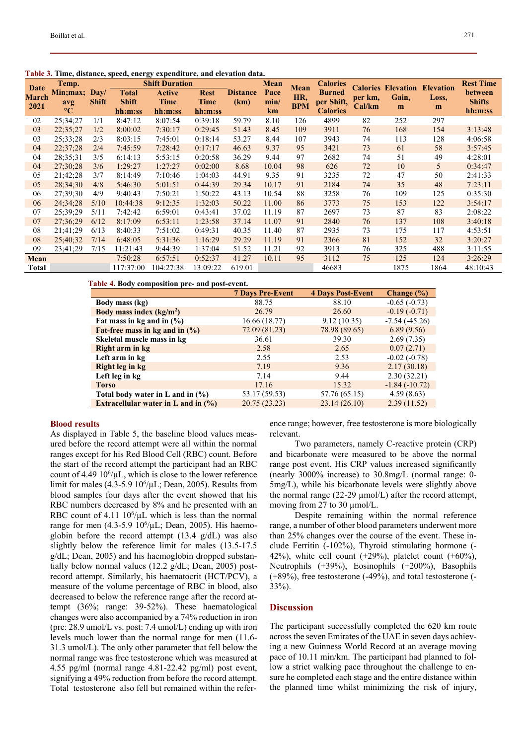| Date         | Temp.           |              |              | <b>Shift Duration</b> |             |                 | <b>Mean</b> | Mean       | <b>Calories</b> |         | <b>Calories Elevation</b> | <b>Elevation</b> | <b>Rest Time</b> |
|--------------|-----------------|--------------|--------------|-----------------------|-------------|-----------------|-------------|------------|-----------------|---------|---------------------------|------------------|------------------|
| <b>March</b> | Min;max;        | Day/         | <b>Total</b> | <b>Active</b>         | <b>Rest</b> | <b>Distance</b> | Pace        | HR,        | <b>Burned</b>   | per km, | Gain,                     | Loss,            | between          |
| 2021         | avg             | <b>Shift</b> | <b>Shift</b> | <b>Time</b>           | Time        | (km)            | min/        | <b>BPM</b> | per Shift,      | Cal/km  | m                         | m                | <b>Shifts</b>    |
|              | $\rm ^{\circ}C$ |              | hh:m:ss      | hh:m:ss               | hh:m:ss     |                 | km          |            | <b>Calories</b> |         |                           |                  | hh:m:ss          |
| 02           | 25:34:27        | 1/1          | 8:47:12      | 8:07:54               | 0:39:18     | 59.79           | 8.10        | 126        | 4899            | 82      | 252                       | 297              |                  |
| 03           | 22;35;27        | 1/2          | 8:00:02      | 7:30:17               | 0:29:45     | 51.43           | 8.45        | 109        | 3911            | 76      | 168                       | 154              | 3:13:48          |
| 03           | 25:33:28        | 2/3          | 8:03:15      | 7:45:01               | 0:18:14     | 53.27           | 8.44        | 107        | 3943            | 74      | 113                       | 128              | 4:06:58          |
| 04           | 22;37;28        | 2/4          | 7:45:59      | 7:28:42               | 0:17:17     | 46.63           | 9.37        | 95         | 3421            | 73      | 61                        | 58               | 3:57:45          |
| 04           | 28;35;31        | 3/5          | 6:14:13      | 5:53:15               | 0:20:58     | 36.29           | 9.44        | 97         | 2682            | 74      | 51                        | 49               | 4:28:01          |
| 04           | 27:30:28        | 3/6          | 1:29:27      | 1:27:27               | 0:02:00     | 8.68            | 10.04       | 98         | 626             | 72      | 10                        | 5                | 0:34:47          |
| 05           | 21;42;28        | 3/7          | 8:14:49      | 7:10:46               | 1:04:03     | 44.91           | 9.35        | 91         | 3235            | 72      | 47                        | 50               | 2:41:33          |
| 05           | 28;34;30        | 4/8          | 5:46:30      | 5:01:51               | 0:44:39     | 29.34           | 10.17       | 91         | 2184            | 74      | 35                        | 48               | 7:23:11          |
| 06           | 27:39:30        | 4/9          | 9:40:43      | 7:50:21               | 1:50:22     | 43.13           | 10.54       | 88         | 3258            | 76      | 109                       | 125              | 0:35:30          |
| 06           | 24:34:28        | 5/10         | 10:44:38     | 9:12:35               | 1:32:03     | 50.22           | 11.00       | 86         | 3773            | 75      | 153                       | 122              | 3:54:17          |
| 07           | 25:39:29        | 5/11         | 7:42:42      | 6:59:01               | 0:43:41     | 37.02           | 11.19       | 87         | 2697            | 73      | 87                        | 83               | 2:08:22          |
| 07           | 27:36:29        | 6/12         | 8:17:09      | 6:53:11               | 1:23:58     | 37.14           | 11.07       | 91         | 2840            | 76      | 137                       | 108              | 3:40:18          |
| 08           | 21:41:29        | 6/13         | 8:40:33      | 7:51:02               | 0:49:31     | 40.35           | 11.40       | 87         | 2935            | 73      | 175                       | 117              | 4:53:51          |
| 08           | 25:40:32        | 7/14         | 6:48:05      | 5:31:36               | 1:16:29     | 29.29           | 11.19       | 91         | 2366            | 81      | 152                       | 32               | 3:20:27          |
| 09           | 23:41:29        | 7/15         | 11:21:43     | 9:44:39               | 1:37:04     | 51.52           | 11.21       | 92         | 3913            | 76      | 325                       | 488              | 3:11:55          |
| Mean         |                 |              | 7:50:28      | 6:57:51               | 0:52:37     | 41.27           | 10.11       | 95         | 3112            | 75      | 125                       | 124              | 3:26:29          |
| Total        |                 |              | 117:37:00    | 104:27:38             | 13:09:22    | 619.01          |             |            | 46683           |         | 1875                      | 1864             | 48:10:43         |

**Table 3. Time, distance, speed, energy expenditure, and elevation data.** 

 **Table 4. Body composition pre- and post-event.** 

|                                        | <b>7 Days Pre-Event</b> | <b>4 Days Post-Event</b> | Change $(\% )$  |
|----------------------------------------|-------------------------|--------------------------|-----------------|
| Body mass (kg)                         | 88.75                   | 88.10                    | $-0.65(-0.73)$  |
| Body mass index $(kg/m2)$              | 26.79                   | 26.60                    | $-0.19(-0.71)$  |
| Fat mass in kg and in $(\% )$          | 16.66 (18.77)           | 9.12(10.35)              | $-7.54(-45.26)$ |
| Fat-free mass in kg and in $(\% )$     | 72.09 (81.23)           | 78.98 (89.65)            | 6.89(9.56)      |
| Skeletal muscle mass in kg             | 36.61                   | 39.30                    | 2.69(7.35)      |
| Right arm in kg                        | 2.58                    | 2.65                     | 0.07(2.71)      |
| Left arm in kg                         | 2.55                    | 2.53                     | $-0.02(-0.78)$  |
| Right leg in kg                        | 7.19                    | 9.36                     | 2.17(30.18)     |
| Left leg in kg                         | 7.14                    | 9.44                     | 2.30(32.21)     |
| <b>Torso</b>                           | 17.16                   | 15.32                    | $-1.84(-10.72)$ |
| Total body water in L and in $(\% )$   | 53.17 (59.53)           | 57.76 (65.15)            | 4.59(8.63)      |
| Extracellular water in L and in $(\%)$ | 20.75 (23.23)           | 23.14(26.10)             | 2.39(11.52)     |

## **Blood results**

As displayed in Table 5, the baseline blood values measured before the record attempt were all within the normal ranges except for his Red Blood Cell (RBC) count. Before the start of the record attempt the participant had an RBC count of 4.49  $10^6/\mu L$ , which is close to the lower reference limit for males  $(4.3\n-5.910<sup>6</sup>/\mu L;$  Dean, 2005). Results from blood samples four days after the event showed that his RBC numbers decreased by 8% and he presented with an RBC count of 4.11  $10^6/\mu$ L which is less than the normal range for men  $(4.3-5.9\ 10^6/\mu L;$  Dean, 2005). His haemoglobin before the record attempt (13.4 g/dL) was also slightly below the reference limit for males (13.5-17.5 g/dL; Dean, 2005) and his haemoglobin dropped substantially below normal values (12.2 g/dL; Dean, 2005) postrecord attempt. Similarly, his haematocrit (HCT/PCV), a measure of the volume percentage of RBC in blood, also decreased to below the reference range after the record attempt (36%; range: 39-52%). These haematological changes were also accompanied by a 74% reduction in iron (pre: 28.9 umol/L vs. post: 7.4 umol/L) ending up with iron levels much lower than the normal range for men (11.6- 31.3 umol/L). The only other parameter that fell below the normal range was free testosterone which was measured at 4.55 pg/ml (normal range 4.81-22.42 pg/ml) post event, signifying a 49% reduction from before the record attempt. Total testosterone also fell but remained within the reference range; however, free testosterone is more biologically relevant.

Two parameters, namely C-reactive protein (CRP) and bicarbonate were measured to be above the normal range post event. His CRP values increased significantly (nearly 3000% increase) to 30.8mg/L (normal range: 0- 5mg/L), while his bicarbonate levels were slightly above the normal range  $(22-29 \mu \text{mol/L})$  after the record attempt, moving from 27 to 30  $\mu$ mol/L.

Despite remaining within the normal reference range, a number of other blood parameters underwent more than 25% changes over the course of the event. These include Ferritin (-102%), Thyroid stimulating hormone (- 42%), white cell count  $(+29%)$ , platelet count  $(+60%)$ , Neutrophils (+39%), Eosinophils (+200%), Basophils (+89%), free testosterone (-49%), and total testosterone (- 33%).

## **Discussion**

The participant successfully completed the 620 km route across the seven Emirates of the UAE in seven days achieving a new Guinness World Record at an average moving pace of 10.11 min/km. The participant had planned to follow a strict walking pace throughout the challenge to ensure he completed each stage and the entire distance within the planned time whilst minimizing the risk of injury,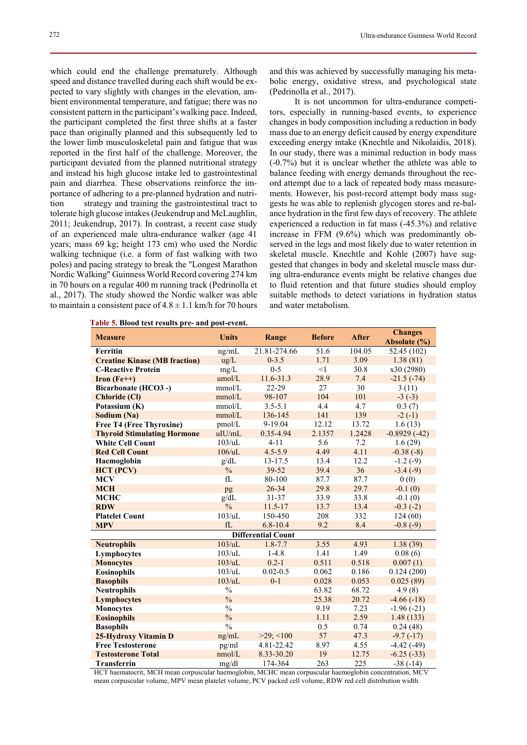which could end the challenge prematurely. Although speed and distance travelled during each shift would be expected to vary slightly with changes in the elevation, ambient environmental temperature, and fatigue; there was no consistent pattern in the participant's walking pace. Indeed, the participant completed the first three shifts at a faster pace than originally planned and this subsequently led to the lower limb musculoskeletal pain and fatigue that was reported in the first half of the challenge. Moreover, the participant deviated from the planned nutritional strategy and instead his high glucose intake led to gastrointestinal pain and diarrhea. These observations reinforce the importance of adhering to a pre-planned hydration and nutrition strategy and training the gastrointestinal tract to tolerate high glucose intakes (Jeukendrup and McLaughlin, 2011; Jeukendrup, 2017). In contrast, a recent case study of an experienced male ultra-endurance walker (age 41 years; mass 69 kg; height 173 cm) who used the Nordic walking technique (i.e. a form of fast walking with two poles) and pacing strategy to break the "Longest Marathon Nordic Walking" Guinness World Record covering 274 km in 70 hours on a regular 400 m running track (Pedrinolla et al., 2017). The study showed the Nordic walker was able to maintain a consistent pace of  $4.8 \pm 1.1$  km/h for 70 hours

and this was achieved by successfully managing his metabolic energy, oxidative stress, and psychological state (Pedrinolla et al., 2017).

It is not uncommon for ultra-endurance competitors, especially in running-based events, to experience changes in body composition including a reduction in body mass due to an energy deficit caused by energy expenditure exceeding energy intake (Knechtle and Nikolaidis, 2018). In our study, there was a minimal reduction in body mass (-0.7%) but it is unclear whether the athlete was able to balance feeding with energy demands throughout the record attempt due to a lack of repeated body mass measurements. However, his post-record attempt body mass suggests he was able to replenish glycogen stores and re-balance hydration in the first few days of recovery. The athlete experienced a reduction in fat mass (-45.3%) and relative increase in FFM (9.6%) which was predominantly observed in the legs and most likely due to water retention in skeletal muscle. Knechtle and Kohle (2007) have suggested that changes in body and skeletal muscle mass during ultra-endurance events might be relative changes due to fluid retention and that future studies should employ suitable methods to detect variations in hydration status and water metabolism.

| <b>Measure</b>                       | <b>Units</b>      | Range                     | <b>Before</b> | <b>After</b> | <b>Changes</b><br>Absolute (%) |
|--------------------------------------|-------------------|---------------------------|---------------|--------------|--------------------------------|
| Ferritin                             | ng/mL             | 21.81-274.66              | 51.6          | 104.05       | 52.45 (102)                    |
| <b>Creatine Kinase (MB fraction)</b> | ug/L              | $0 - 3.5$                 | 1.71          | 3.09         | 1.38(81)                       |
| <b>C-Reactive Protein</b>            | mg/L              | $0 - 5$                   | <1            | 30.8         | x30 (2980)                     |
| Iron $(Fe^{++})$                     | umol/L            | 11.6-31.3                 | 28.9          | 7.4          | $-21.5(-74)$                   |
| Bicarbonate (HCO3 -)                 | mmol/L            | 22-29                     | 27            | 30           | 3(11)                          |
| <b>Chloride (Cl)</b>                 | mmol/L            | 98-107                    | 104           | 101          | $-3(-3)$                       |
| Potassium (K)                        | mmol/L            | $3.5 - 5.1$               | 4.4           | 4.7          | 0.3(7)                         |
| Sodium (Na)                          | mmol/L            | 136-145                   | 141           | 139          | $-2(-1)$                       |
| <b>Free T4 (Free Thyroxine)</b>      | pmol/L            | 9-19.04                   | 12.12         | 13.72        | 1.6(13)                        |
| <b>Thyroid Stimulating Hormone</b>   | uIU/mL            | 0.35-4.94                 | 2.1357        | 1.2428       | $-0.8929(-42)$                 |
| <b>White Cell Count</b>              | $103/\mathrm{uL}$ | $4 - 11$                  | 5.6           | 7.2          | 1.6(29)                        |
| <b>Red Cell Count</b>                | 106/uL            | $4.5 - 5.9$               | 4.49          | 4.11         | $-0.38(-8)$                    |
| Haemoglobin                          | g/dL              | 13-17.5                   | 13.4          | 12.2         | $-1.2(-9)$                     |
| <b>HCT</b> (PCV)                     | $\frac{0}{0}$     | 39-52                     | 39.4          | 36           | $-3.4(-9)$                     |
| <b>MCV</b>                           | fL                | 80-100                    | 87.7          | 87.7         | 0(0)                           |
| <b>MCH</b>                           | pg                | $26 - 34$                 | 29.8          | 29.7         | $-0.1(0)$                      |
| <b>MCHC</b>                          | g/dL              | $31 - 37$                 | 33.9          | 33.8         | $-0.1(0)$                      |
| <b>RDW</b>                           | $\frac{0}{0}$     | $11.5 - 17$               | 13.7          | 13.4         | $-0.3(-2)$                     |
| <b>Platelet Count</b>                | 103/uL            | 150-450                   | 208           | 332          | 124(60)                        |
| <b>MPV</b>                           | fL                | $6.8 - 10.4$              | 9.2           | 8.4          | $-0.8(-9)$                     |
|                                      |                   | <b>Differential Count</b> |               |              |                                |
| <b>Neutrophils</b>                   | 103/uL            | $1.8 - 7.7$               | 3.55          | 4.93         | 1.38(39)                       |
| Lymphocytes                          | 103/uL            | $1 - 4.8$                 | 1.41          | 1.49         | 0.08(6)                        |
| <b>Monocytes</b>                     | 103/uL            | $0.2 - 1$                 | 0.511         | 0.518        | 0.007(1)                       |
| <b>Eosinophils</b>                   | 103/uL            | $0.02 - 0.5$              | 0.062         | 0.186        | 0.124(200)                     |
| <b>Basophils</b>                     | 103/uL            | $0 - 1$                   | 0.028         | 0.053        | 0.025(89)                      |
| <b>Neutrophils</b>                   | $\frac{0}{0}$     |                           | 63.82         | 68.72        | 4.9(8)                         |
| <b>Lymphocytes</b>                   | $\frac{0}{0}$     |                           | 25.38         | 20.72        | $-4.66(-18)$                   |
| <b>Monocytes</b>                     | $\frac{0}{0}$     |                           | 9.19          | 7.23         | $-1.96(-21)$                   |
| <b>Eosinophils</b>                   | $\frac{0}{0}$     |                           | 1.11          | 2.59         | 1.48(133)                      |
| <b>Basophils</b>                     | $\frac{0}{0}$     |                           | 0.5           | 0.74         | 0.24(48)                       |
| 25-Hydroxy Vitamin D                 | ng/mL             | $>29$ ; <100              | 57            | 47.3         | $-9.7(-17)$                    |
| <b>Free Testosterone</b>             | pg/ml             | 4.81-22.42                | 8.97          | 4.55         | $-4.42(-49)$                   |
| <b>Testosterone Total</b>            | nmol/L            | 8.33-30.20                | 19            | 12.75        | $-6.25(-33)$                   |
| Transferrin                          | mg/dl             | 174-364                   | 263           | 225          | $-38(-14)$                     |

 **Table 5. Blood test results pre- and post-event.** 

HCT haematocrit, MCH mean corpuscular haemoglobin, MCHC mean corpuscular haemoglobin concentration, MCV mean corpuscular volume, MPV mean platelet volume, PCV packed cell volume, RDW red cell distribution width.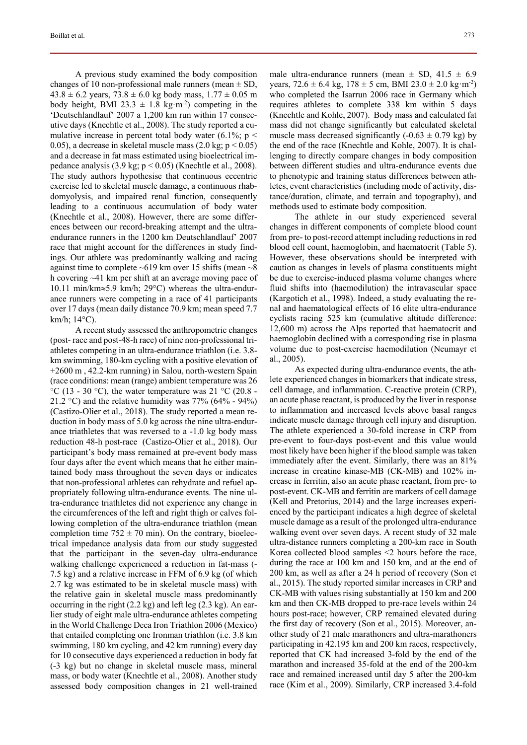A previous study examined the body composition changes of 10 non-professional male runners (mean  $\pm$  SD,  $43.8 \pm 6.2$  years,  $73.8 \pm 6.0$  kg body mass,  $1.77 \pm 0.05$  m body height, BMI 23.3  $\pm$  1.8 kg·m<sup>-2</sup>) competing in the 'Deutschlandlauf' 2007 a 1,200 km run within 17 consecutive days (Knechtle et al., 2008). The study reported a cumulative increase in percent total body water  $(6.1\%; p \leq$ 0.05), a decrease in skeletal muscle mass  $(2.0 \text{ kg}; p < 0.05)$ and a decrease in fat mass estimated using bioelectrical impedance analysis  $(3.9 \text{ kg}; \text{p} < 0.05)$  (Knechtle et al., 2008). The study authors hypothesise that continuous eccentric exercise led to skeletal muscle damage, a continuous rhabdomyolysis, and impaired renal function, consequently leading to a continuous accumulation of body water (Knechtle et al., 2008). However, there are some differences between our record-breaking attempt and the ultraendurance runners in the 1200 km Deutschlandlauf' 2007 race that might account for the differences in study findings. Our athlete was predominantly walking and racing against time to complete  $\sim 619$  km over 15 shifts (mean  $\sim 8$ h covering ~41 km per shift at an average moving pace of 10.11 min/km $\approx$ 5.9 km/h; 29°C) whereas the ultra-endurance runners were competing in a race of 41 participants over 17 days (mean daily distance 70.9 km; mean speed 7.7 km/h;  $14^{\circ}$ C).

A recent study assessed the anthropometric changes (post- race and post-48-h race) of nine non-professional triathletes competing in an ultra-endurance triathlon (i.e. 3.8 km swimming, 180-km cycling with a positive elevation of +2600 m , 42.2-km running) in Salou, north-western Spain (race conditions: mean (range) ambient temperature was 26 °C (13 - 30 °C), the water temperature was 21 °C (20.8 -21.2 °C) and the relative humidity was  $77\%$  (64% - 94%) (Castizo-Olier et al., 2018). The study reported a mean reduction in body mass of 5.0 kg across the nine ultra-endurance triathletes that was reversed to a -1.0 kg body mass reduction 48-h post-race (Castizo-Olier et al., 2018). Our participant's body mass remained at pre-event body mass four days after the event which means that he either maintained body mass throughout the seven days or indicates that non-professional athletes can rehydrate and refuel appropriately following ultra-endurance events. The nine ultra-endurance triathletes did not experience any change in the circumferences of the left and right thigh or calves following completion of the ultra-endurance triathlon (mean completion time  $752 \pm 70$  min). On the contrary, bioelectrical impedance analysis data from our study suggested that the participant in the seven-day ultra-endurance walking challenge experienced a reduction in fat-mass (- 7.5 kg) and a relative increase in FFM of 6.9 kg (of which 2.7 kg was estimated to be in skeletal muscle mass) with the relative gain in skeletal muscle mass predominantly occurring in the right (2.2 kg) and left leg (2.3 kg). An earlier study of eight male ultra-endurance athletes competing in the World Challenge Deca Iron Triathlon 2006 (Mexico) that entailed completing one Ironman triathlon (i.e. 3.8 km swimming, 180 km cycling, and 42 km running) every day for 10 consecutive days experienced a reduction in body fat (-3 kg) but no change in skeletal muscle mass, mineral mass, or body water (Knechtle et al., 2008). Another study assessed body composition changes in 21 well-trained male ultra-endurance runners (mean  $\pm$  SD, 41.5  $\pm$  6.9 years,  $72.6 \pm 6.4$  kg,  $178 \pm 5$  cm, BMI  $23.0 \pm 2.0$  kg·m<sup>-2</sup>) who completed the Isarrun 2006 race in Germany which requires athletes to complete 338 km within 5 days (Knechtle and Kohle, 2007). Body mass and calculated fat mass did not change significantly but calculated skeletal muscle mass decreased significantly  $(-0.63 \pm 0.79 \text{ kg})$  by the end of the race (Knechtle and Kohle, 2007). It is challenging to directly compare changes in body composition between different studies and ultra-endurance events due to phenotypic and training status differences between athletes, event characteristics (including mode of activity, distance/duration, climate, and terrain and topography), and methods used to estimate body composition.

The athlete in our study experienced several changes in different components of complete blood count from pre- to post-record attempt including reductions in red blood cell count, haemoglobin, and haematocrit (Table 5). However, these observations should be interpreted with caution as changes in levels of plasma constituents might be due to exercise-induced plasma volume changes where fluid shifts into (haemodilution) the intravascular space (Kargotich et al., 1998). Indeed, a study evaluating the renal and haematological effects of 16 elite ultra-endurance cyclists racing 525 km (cumulative altitude difference: 12,600 m) across the Alps reported that haematocrit and haemoglobin declined with a corresponding rise in plasma volume due to post-exercise haemodilution (Neumayr et al., 2005).

As expected during ultra-endurance events, the athlete experienced changes in biomarkers that indicate stress, cell damage, and inflammation. C-reactive protein (CRP), an acute phase reactant, is produced by the liver in response to inflammation and increased levels above basal ranges indicate muscle damage through cell injury and disruption. The athlete experienced a 30-fold increase in CRP from pre-event to four-days post-event and this value would most likely have been higher if the blood sample was taken immediately after the event. Similarly, there was an 81% increase in creatine kinase-MB (CK-MB) and 102% increase in ferritin, also an acute phase reactant, from pre- to post-event. CK-MB and ferritin are markers of cell damage (Kell and Pretorius, 2014) and the large increases experienced by the participant indicates a high degree of skeletal muscle damage as a result of the prolonged ultra-endurance walking event over seven days. A recent study of 32 male ultra-distance runners completing a 200-km race in South Korea collected blood samples <2 hours before the race, during the race at 100 km and 150 km, and at the end of 200 km, as well as after a 24 h period of recovery (Son et al., 2015). The study reported similar increases in CRP and CK-MB with values rising substantially at 150 km and 200 km and then CK-MB dropped to pre-race levels within 24 hours post-race; however, CRP remained elevated during the first day of recovery (Son et al., 2015). Moreover, another study of 21 male marathoners and ultra-marathoners participating in 42.195 km and 200 km races, respectively, reported that CK had increased 3-fold by the end of the marathon and increased 35-fold at the end of the 200-km race and remained increased until day 5 after the 200-km race (Kim et al., 2009). Similarly, CRP increased 3.4-fold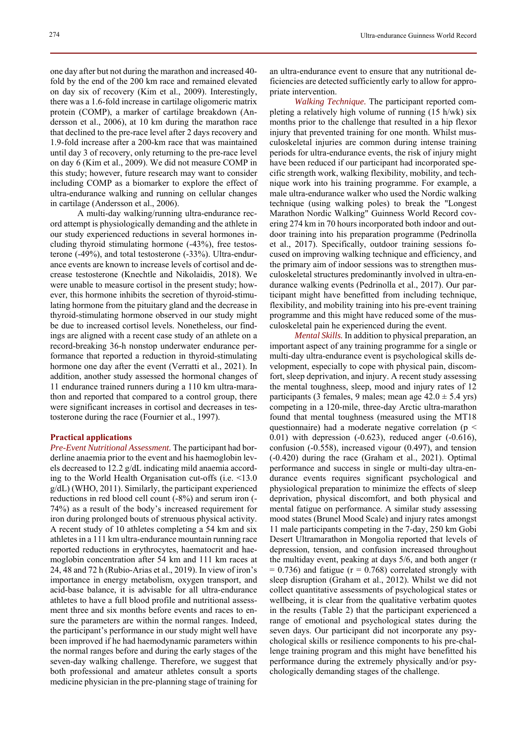one day after but not during the marathon and increased 40 fold by the end of the 200 km race and remained elevated on day six of recovery (Kim et al., 2009). Interestingly, there was a 1.6-fold increase in cartilage oligomeric matrix protein (COMP), a marker of cartilage breakdown (Andersson et al., 2006), at 10 km during the marathon race that declined to the pre-race level after 2 days recovery and 1.9-fold increase after a 200-km race that was maintained until day 3 of recovery, only returning to the pre-race level on day 6 (Kim et al., 2009). We did not measure COMP in this study; however, future research may want to consider including COMP as a biomarker to explore the effect of ultra-endurance walking and running on cellular changes in cartilage (Andersson et al., 2006).

 A multi-day walking/running ultra-endurance record attempt is physiologically demanding and the athlete in our study experienced reductions in several hormones including thyroid stimulating hormone (-43%), free testosterone (-49%), and total testosterone (-33%). Ultra-endurance events are known to increase levels of cortisol and decrease testosterone (Knechtle and Nikolaidis, 2018). We were unable to measure cortisol in the present study; however, this hormone inhibits the secretion of thyroid-stimulating hormone from the pituitary gland and the decrease in thyroid-stimulating hormone observed in our study might be due to increased cortisol levels. Nonetheless, our findings are aligned with a recent case study of an athlete on a record-breaking 36-h nonstop underwater endurance performance that reported a reduction in thyroid-stimulating hormone one day after the event (Verratti et al., 2021). In addition, another study assessed the hormonal changes of 11 endurance trained runners during a 110 km ultra-marathon and reported that compared to a control group, there were significant increases in cortisol and decreases in testosterone during the race (Fournier et al., 1997).

#### **Practical applications**

*Pre-Event Nutritional Assessment.* The participant had borderline anaemia prior to the event and his haemoglobin levels decreased to 12.2 g/dL indicating mild anaemia according to the World Health Organisation cut-offs (i.e. <13.0 g/dL) (WHO, 2011). Similarly, the participant experienced reductions in red blood cell count (-8%) and serum iron (- 74%) as a result of the body's increased requirement for iron during prolonged bouts of strenuous physical activity. A recent study of 10 athletes completing a 54 km and six athletes in a 111 km ultra-endurance mountain running race reported reductions in erythrocytes, haematocrit and haemoglobin concentration after 54 km and 111 km races at 24, 48 and 72 h (Rubio-Arias et al., 2019). In view of iron's importance in energy metabolism, oxygen transport, and acid-base balance, it is advisable for all ultra-endurance athletes to have a full blood profile and nutritional assessment three and six months before events and races to ensure the parameters are within the normal ranges. Indeed, the participant's performance in our study might well have been improved if he had haemodynamic parameters within the normal ranges before and during the early stages of the seven-day walking challenge. Therefore, we suggest that both professional and amateur athletes consult a sports medicine physician in the pre-planning stage of training for an ultra-endurance event to ensure that any nutritional deficiencies are detected sufficiently early to allow for appropriate intervention.

*Walking Technique.* The participant reported completing a relatively high volume of running (15 h/wk) six months prior to the challenge that resulted in a hip flexor injury that prevented training for one month. Whilst musculoskeletal injuries are common during intense training periods for ultra-endurance events, the risk of injury might have been reduced if our participant had incorporated specific strength work, walking flexibility, mobility, and technique work into his training programme. For example, a male ultra-endurance walker who used the Nordic walking technique (using walking poles) to break the "Longest Marathon Nordic Walking" Guinness World Record covering 274 km in 70 hours incorporated both indoor and outdoor training into his preparation programme (Pedrinolla et al., 2017). Specifically, outdoor training sessions focused on improving walking technique and efficiency, and the primary aim of indoor sessions was to strengthen musculoskeletal structures predominantly involved in ultra-endurance walking events (Pedrinolla et al., 2017). Our participant might have benefitted from including technique, flexibility, and mobility training into his pre-event training programme and this might have reduced some of the musculoskeletal pain he experienced during the event.

*Mental Skills.* In addition to physical preparation, an important aspect of any training programme for a single or multi-day ultra-endurance event is psychological skills development, especially to cope with physical pain, discomfort, sleep deprivation, and injury. A recent study assessing the mental toughness, sleep, mood and injury rates of 12 participants (3 females, 9 males; mean age  $42.0 \pm 5.4$  yrs) competing in a 120-mile, three-day Arctic ultra-marathon found that mental toughness (measured using the MT18 questionnaire) had a moderate negative correlation (p < 0.01) with depression (-0.623), reduced anger (-0.616), confusion (-0.558), increased vigour (0.497), and tension (-0.420) during the race (Graham et al., 2021). Optimal performance and success in single or multi-day ultra-endurance events requires significant psychological and physiological preparation to minimize the effects of sleep deprivation, physical discomfort, and both physical and mental fatigue on performance. A similar study assessing mood states (Brunel Mood Scale) and injury rates amongst 11 male participants competing in the 7-day, 250 km Gobi Desert Ultramarathon in Mongolia reported that levels of depression, tension, and confusion increased throughout the multiday event, peaking at days 5/6, and both anger (r  $= 0.736$ ) and fatigue ( $r = 0.768$ ) correlated strongly with sleep disruption (Graham et al., 2012). Whilst we did not collect quantitative assessments of psychological states or wellbeing, it is clear from the qualitative verbatim quotes in the results (Table 2) that the participant experienced a range of emotional and psychological states during the seven days. Our participant did not incorporate any psychological skills or resilience components to his pre-challenge training program and this might have benefitted his performance during the extremely physically and/or psychologically demanding stages of the challenge.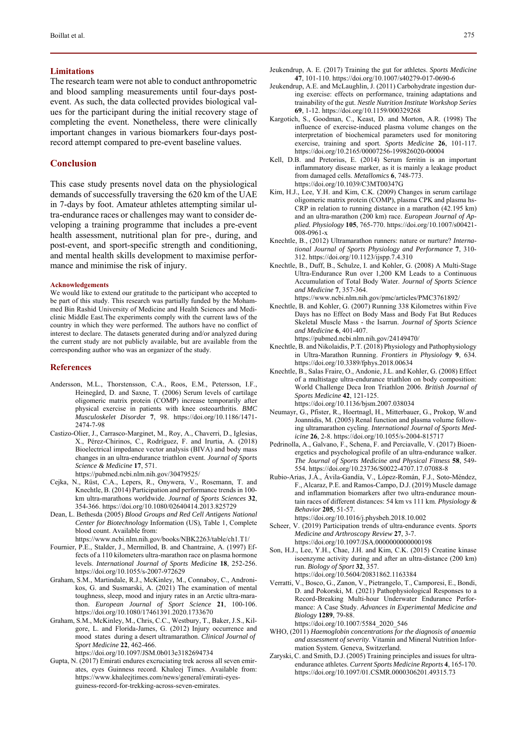## **Limitations**

The research team were not able to conduct anthropometric and blood sampling measurements until four-days postevent. As such, the data collected provides biological values for the participant during the initial recovery stage of completing the event. Nonetheless, there were clinically important changes in various biomarkers four-days postrecord attempt compared to pre-event baseline values.

## **Conclusion**

This case study presents novel data on the physiological demands of successfully traversing the 620 km of the UAE in 7-days by foot. Amateur athletes attempting similar ultra-endurance races or challenges may want to consider developing a training programme that includes a pre-event health assessment, nutritional plan for pre-, during, and post-event, and sport-specific strength and conditioning, and mental health skills development to maximise performance and minimise the risk of injury.

#### **Acknowledgements**

We would like to extend our gratitude to the participant who accepted to be part of this study. This research was partially funded by the Mohammed Bin Rashid University of Medicine and Health Sciences and Mediclinic Middle East.The experiments comply with the current laws of the country in which they were performed. The authors have no conflict of interest to declare. The datasets generated during and/or analyzed during the current study are not publicly available, but are available from the corresponding author who was an organizer of the study.

#### **References**

- Andersson, M.L., Thorstensson, C.A., Roos, E.M., Petersson, I.F., Heinegård, D. and Saxne, T. (2006) Serum levels of cartilage oligomeric matrix protein (COMP) increase temporarily after physical exercise in patients with knee osteoarthritis. *BMC Musculoskelet Disord*er **7**, 98. https://doi.org/10.1186/1471- 2474-7-98
- Castizo-Olier, J., Carrasco-Marginet, M., Roy, A., Chaverri, D., Iglesias, X., Pérez-Chirinos, C., Rodríguez, F. and Irurtia, A. (2018) Bioelectrical impedance vector analysis (BIVA) and body mass changes in an ultra-endurance triathlon event. *Journal of Sports Science & Medicine* **17**, 571. https://pubmed.ncbi.nlm.nih.gov/30479525/
- Cejka, N., Rüst, C.A., Lepers, R., Onywera, V., Rosemann, T. and Knechtle, B. (2014) Participation and performance trends in 100 km ultra-marathons worldwide. *Journal of Sports Sciences* **32**, 354-366. https://doi.org/10.1080/02640414.2013.825729
- Dean, L. Bethesda (2005) *Blood Groups and Red Cell Antigens National Center for Biotechnology* Information (US), Table 1, Complete blood count. Available from:

https://www.ncbi.nlm.nih.gov/books/NBK2263/table/ch1.T1/

- Fournier, P.E., Stalder, J., Mermillod, B. and Chantraine, A. (1997) Effects of a 110 kilometers ultra-marathon race on plasma hormone levels. *International Journal of Sports Medicine* **18**, 252-256. https://doi.org/10.1055/s-2007-972629
- Graham, S.M., Martindale, R.J., McKinley, M., Connaboy, C., Andronikos, G. and Susmarski, A. (2021) The examination of mental toughness, sleep, mood and injury rates in an Arctic ultra-marathon. *European Journal of Sport Science* **21**, 100-106. https://doi.org/10.1080/17461391.2020.1733670
- Graham, S.M., McKinley, M., Chris, C.C., Westbury, T., Baker, J.S., Kilgore, L. and Florida-James, G. (2012) Injury occurrence and mood states during a desert ultramarathon. *Clinical Journal of Sport Medicine* **22**, 462-466. https://doi.org/10.1097/JSM.0b013e3182694734
- Gupta, N. (2017) Emirati endures excruciating trek across all seven emirates, eyes Guinness record. Khaleej Times. Available from: https://www.khaleejtimes.com/news/general/emirati-eyesguiness-record-for-trekking-across-seven-emirates.
- Jeukendrup, A. E. (2017) Training the gut for athletes. *Sports Medicine* **47**, 101-110. https://doi.org/10.1007/s40279-017-0690-6
- Jeukendrup, A.E. and McLaughlin, J. (2011) Carbohydrate ingestion during exercise: effects on performance, training adaptations and trainability of the gut. *Nestle Nutrition Institute Workshop Series* **69**, 1-12. https://doi.org/10.1159/000329268
- Kargotich, S., Goodman, C., Keast, D. and Morton, A.R. (1998) The influence of exercise-induced plasma volume changes on the interpretation of biochemical parameters used for monitoring exercise, training and sport. *Sports Medicine* **26**, 101-117. https://doi.org/10.2165/00007256-199826020-00004
- Kell, D.B. and Pretorius, E. (2014) Serum ferritin is an important inflammatory disease marker, as it is mainly a leakage product from damaged cells. *Metallomics* **6**, 748-773. https://doi.org/10.1039/C3MT00347G
- Kim, H.J., Lee, Y.H. and Kim, C.K. (2009) Changes in serum cartilage oligomeric matrix protein (COMP), plasma CPK and plasma hs-CRP in relation to running distance in a marathon (42.195 km) and an ultra-marathon (200 km) race. *European Journal of Applied. Physiology* **105**, 765-770. https://doi.org/10.1007/s00421- 008-0961-x
- Knechtle, B., (2012) Ultramarathon runners: nature or nurture? *International Journal of Sports Physiology and Performance* **7**, 310- 312. https://doi.org/10.1123/ijspp.7.4.310
- Knechtle, B., Duff, B., Schulze, I. and Kohler, G. (2008) A Multi-Stage Ultra-Endurance Run over 1,200 KM Leads to a Continuous Accumulation of Total Body Water. *Journal of Sports Science and Medicine* **7**, 357-364.
- https://www.ncbi.nlm.nih.gov/pmc/articles/PMC3761892/ Knechtle, B. and Kohler, G. (2007) Running 338 Kilometres within Five
- Days has no Effect on Body Mass and Body Fat But Reduces Skeletal Muscle Mass - the Isarrun. *Journal of Sports Science and Medicine* **6**, 401-407.
	- https://pubmed.ncbi.nlm.nih.gov/24149470/
- Knechtle, B. and Nikolaidis, P.T. (2018) Physiology and Pathophysiology in Ultra-Marathon Running. *Frontiers in Physiology* **9**, 634. https://doi.org/10.3389/fphys.2018.00634
- Knechtle, B., Salas Fraire, O., Andonie, J.L. and Kohler, G. (2008) Effect of a multistage ultra-endurance triathlon on body composition: World Challenge Deca Iron Triathlon 2006. *British Journal of Sports Medicine* **42**, 121-125. https://doi.org/10.1136/bjsm.2007.038034
- Neumayr, G., Pfister, R., Hoertnagl, H., Mitterbauer, G., Prokop, W.and Joannidis, M. (2005) Renal function and plasma volume following ultramarathon cycling. *International Journal of Sports Medicine* **26**, 2-8. https://doi.org/10.1055/s-2004-815717
- Pedrinolla, A., Galvano, F., Schena, F. and Perciavalle, V. (2017) Bioenergetics and psychological profile of an ultra-endurance walker. *The Journal of Sports Medicine and Physical Fitness* **58**, 549- 554. https://doi.org/10.23736/S0022-4707.17.07088-8
- Rubio-Arias, J.Á., Ávila-Gandía, V., López-Román, F.J., Soto-Méndez, F., Alcaraz, P.E. and Ramos-Campo, D.J. (2019) Muscle damage and inflammation biomarkers after two ultra-endurance mountain races of different distances: 54 km vs 111 km. *Physiology & Behavior* **205**, 51-57.

https://doi.org/10.1016/j.physbeh.2018.10.002

- Scheer, V. (2019) Participation trends of ultra-endurance events. *Sports Medicine and Arthroscopy Review* **27**, 3-7. https://doi.org/10.1097/JSA.0000000000000198
- Son, H.J., Lee, Y.H., Chae, J.H. and Kim, C.K. (2015) Creatine kinase isoenzyme activity during and after an ultra-distance (200 km) run. *Biology of Sport* **32**, 357. https://doi.org/10.5604/20831862.1163384
- Verratti, V., Bosco, G., Zanon, V., Pietrangelo, T., Camporesi, E., Bondi, D. and Pokorski, M. (2021) Pathophysiological Responses to a Record-Breaking Multi-hour Underwater Endurance Performance: A Case Study. *Advances in Experimental Medicine and Biology* **1289**, 79-88. https://doi.org/10.1007/5584\_2020\_546
- WHO, (2011) *Haemoglobin concentrations for the diagnosis of anaemia and assessment of severity*. Vitamin and Mineral Nutrition Information System. Geneva, Switzerland.
- Zaryski, C. and Smith, D.J. (2005) Training principles and issues for ultraendurance athletes. *Current Sports Medicine Reports* **4**, 165-170. https://doi.org/10.1097/01.CSMR.0000306201.49315.73